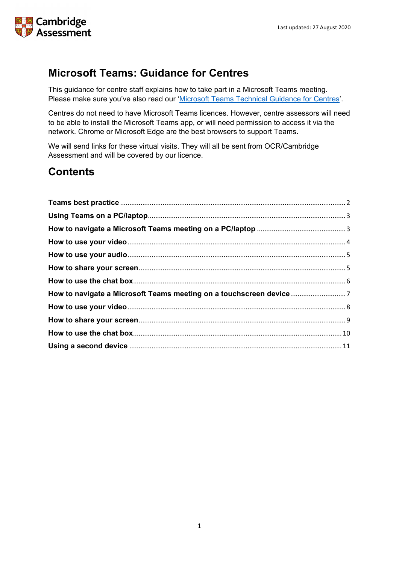

# **Microsoft Teams: Guidance for Centres**

This guidance for centre staff explains how to take part in a Microsoft Teams meeting. Please make sure you've also read our ['Microsoft Teams Technical Guidance](https://www.ocr.org.uk/Images/598396-summer-2021-microsoft-teams-technical-guidance-for-centres.pdf) for Centres'.

Centres do not need to have Microsoft Teams licences. However, centre assessors will need to be able to install the Microsoft Teams app, or will need permission to access it via the network. Chrome or Microsoft Edge are the best browsers to support Teams.

We will send links for these virtual visits. They will all be sent from OCR/Cambridge Assessment and will be covered by our licence.

# **Contents**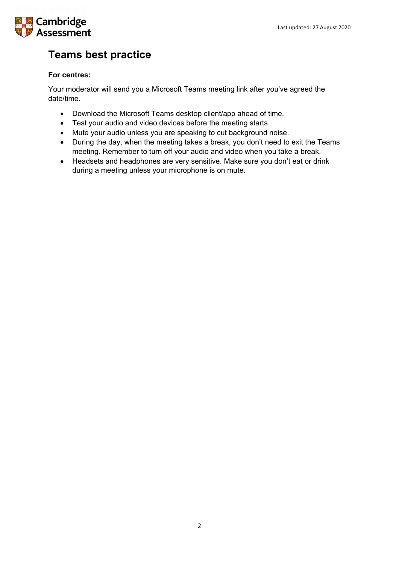# Cambridge Assessment

# <span id="page-1-0"></span>**Teams best practice**

## **For centres:**

Your moderator will send you a Microsoft Teams meeting link after you've agreed the date/time.

- Download the Microsoft Teams desktop client/app ahead of time.
- Test your audio and video devices before the meeting starts.
- Mute your audio unless you are speaking to cut background noise.
- During the day, when the meeting takes a break, you don't need to exit the Teams meeting. Remember to turn off your audio and video when you take a break.
- Headsets and headphones are very sensitive. Make sure you don't eat or drink during a meeting unless your microphone is on mute.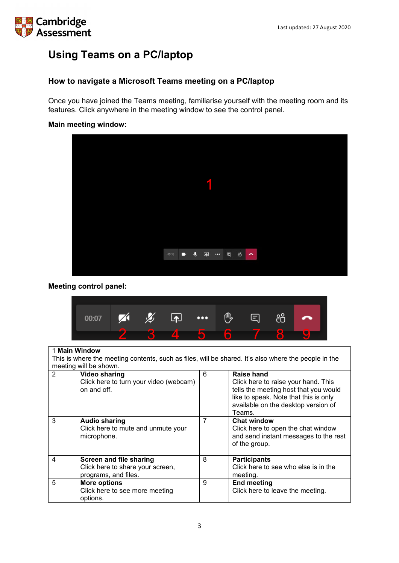# **Cambridge** Assessment

# <span id="page-2-0"></span>**Using Teams on a PC/laptop**

## <span id="page-2-1"></span>**How to navigate a Microsoft Teams meeting on a PC/laptop**

Once you have joined the Teams meeting, familiarise yourself with the meeting room and its features. Click anywhere in the meeting window to see the control panel.

### **Main meeting window:**



### **Meeting control panel:**



|                | 1 Main Window                                                                                                                  |   |                                                                                                                                                                                      |
|----------------|--------------------------------------------------------------------------------------------------------------------------------|---|--------------------------------------------------------------------------------------------------------------------------------------------------------------------------------------|
|                | This is where the meeting contents, such as files, will be shared. It's also where the people in the<br>meeting will be shown. |   |                                                                                                                                                                                      |
| $\overline{2}$ | <b>Video sharing</b><br>Click here to turn your video (webcam)<br>on and off.                                                  | 6 | Raise hand<br>Click here to raise your hand. This<br>tells the meeting host that you would<br>like to speak. Note that this is only<br>available on the desktop version of<br>Teams. |
| 3              | <b>Audio sharing</b><br>Click here to mute and unmute your<br>microphone.                                                      | 7 | <b>Chat window</b><br>Click here to open the chat window<br>and send instant messages to the rest<br>of the group.                                                                   |
| 4              | <b>Screen and file sharing</b><br>Click here to share your screen,<br>programs, and files.                                     | 8 | <b>Participants</b><br>Click here to see who else is in the<br>meeting.                                                                                                              |
| 5              | <b>More options</b><br>Click here to see more meeting<br>options.                                                              | 9 | <b>End meeting</b><br>Click here to leave the meeting.                                                                                                                               |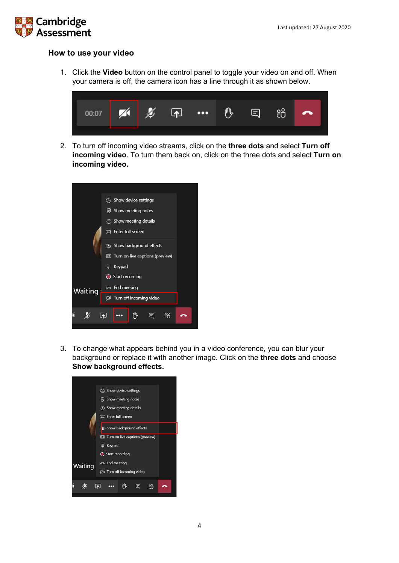

### <span id="page-3-0"></span>**How to use your video**

1. Click the **Video** button on the control panel to toggle your video on and off. When your camera is off, the camera icon has a line through it as shown below.



2. To turn off incoming video streams, click on the **three dots** and select **Turn off incoming video**. To turn them back on, click on the three dots and select **Turn on incoming video.**



3. To change what appears behind you in a video conference, you can blur your background or replace it with another image. Click on the **three dots** and choose **Show background effects.**

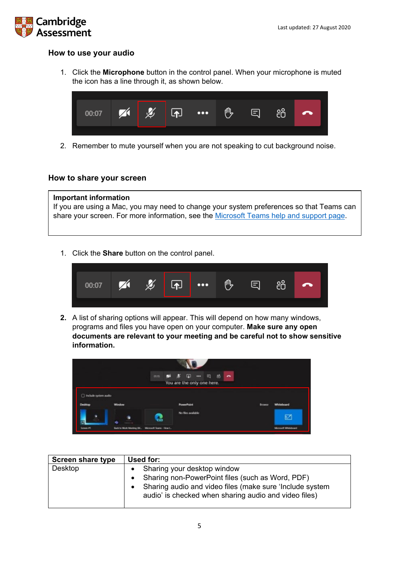

### <span id="page-4-0"></span>**How to use your audio**

1. Click the **Microphone** button in the control panel. When your microphone is muted the icon has a line through it, as shown below.



2. Remember to mute yourself when you are not speaking to cut background noise.

### <span id="page-4-1"></span>**How to share your screen**

# **Important information** If you are using a Mac, you may need to change your system preferences so that Teams can share your screen. For more information, see the [Microsoft Teams help and support page.](https://support.microsoft.com/en-us/office/share-content-in-a-meeting-in-teams-fcc2bf59-aecd-4481-8f99-ce55dd836ce8#:%7E:text=Share%20content%20on%20a%20Mac&text=Select%20Open%20System%20Preferences%20from,try%20sharing%20your%20screen%20again.)

1. Click the **Share** button on the control panel.



**2.** A list of sharing options will appear. This will depend on how many windows, programs and files you have open on your computer. **Make sure any open documents are relevant to your meeting and be careful not to show sensitive information.**



| <b>Screen share type</b> | Used for:                                                                                                                                                                                                |
|--------------------------|----------------------------------------------------------------------------------------------------------------------------------------------------------------------------------------------------------|
| Desktop                  | • Sharing your desktop window<br>• Sharing non-PowerPoint files (such as Word, PDF)<br>Sharing audio and video files (make sure 'Include system<br>audio' is checked when sharing audio and video files) |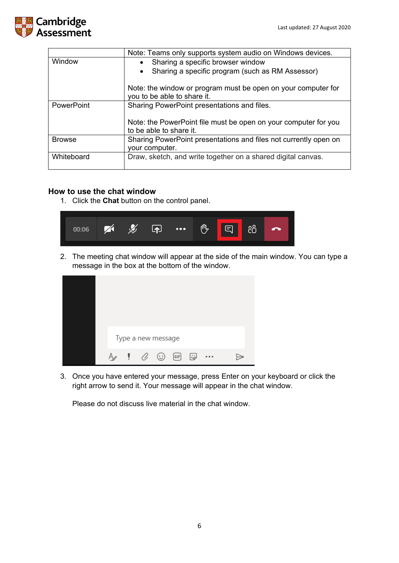

|               | Note: Teams only supports system audio on Windows devices.                                   |  |  |  |
|---------------|----------------------------------------------------------------------------------------------|--|--|--|
| Window        | • Sharing a specific browser window                                                          |  |  |  |
|               | Sharing a specific program (such as RM Assessor)                                             |  |  |  |
|               | Note: the window or program must be open on your computer for<br>you to be able to share it. |  |  |  |
| PowerPoint    | Sharing PowerPoint presentations and files.                                                  |  |  |  |
|               |                                                                                              |  |  |  |
|               | Note: the PowerPoint file must be open on your computer for you<br>to be able to share it.   |  |  |  |
| <b>Browse</b> | Sharing PowerPoint presentations and files not currently open on                             |  |  |  |
|               | your computer.                                                                               |  |  |  |
| Whiteboard    | Draw, sketch, and write together on a shared digital canvas.                                 |  |  |  |
|               |                                                                                              |  |  |  |

### <span id="page-5-0"></span>**How to use the chat window**

1. Click the **Chat** button on the control panel.

| 00:06 |  | "必回… | 心 日 治 | <b>TA</b> |  |
|-------|--|------|-------|-----------|--|
|       |  |      |       |           |  |

2. The meeting chat window will appear at the side of the main window. You can type a message in the box at the bottom of the window.

|    |  | Type a new message                                                         |  |  |  |
|----|--|----------------------------------------------------------------------------|--|--|--|
| Aø |  | $\blacksquare$ $\heartsuit$ $\odot$ $\blacksquare$ $\blacksquare$ $\cdots$ |  |  |  |

3. Once you have entered your message, press Enter on your keyboard or click the right arrow to send it. Your message will appear in the chat window.

Please do not discuss live material in the chat window.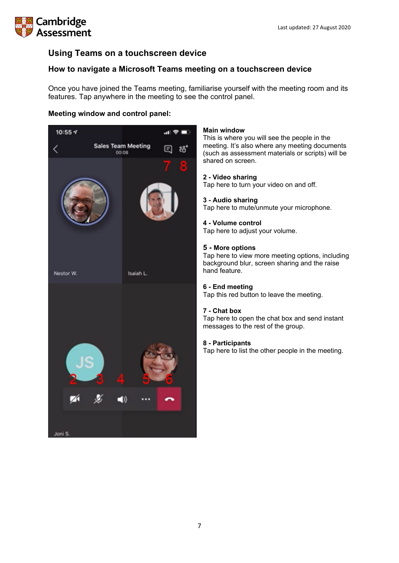# **Cambridge** ssessment

# **Using Teams on a touchscreen device**

## <span id="page-6-0"></span>**How to navigate a Microsoft Teams meeting on a touchscreen device**

Once you have joined the Teams meeting, familiarise yourself with the meeting room and its features. Tap anywhere in the meeting to see the control panel.

### **Meeting window and control panel:**



#### **Main window**

This is where you will see the people in the meeting. It's also where any meeting documents (such as assessment materials or scripts) will be shared on screen.

#### **2 - Video sharing**

Tap here to turn your video on and off.

#### **3 - Audio sharing**

Tap here to mute/unmute your microphone.

#### **4 - Volume control**

Tap here to adjust your volume.

#### **5 - More options**

Tap here to view more meeting options, including background blur, screen sharing and the raise hand feature.

#### **6 - End meeting**

Tap this red button to leave the meeting.

#### **7 - Chat box**

Tap here to open the chat box and send instant messages to the rest of the group.

#### **8 - Participants**

Tap here to list the other people in the meeting.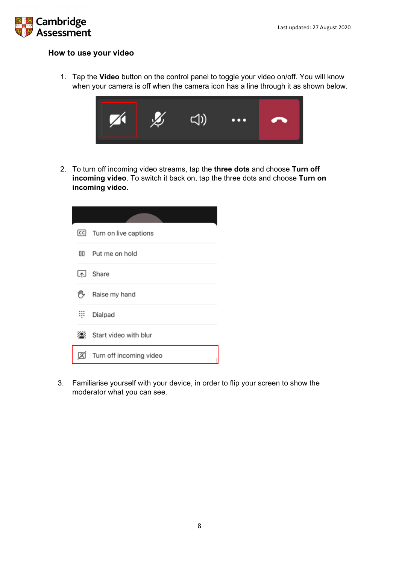

### <span id="page-7-0"></span>**How to use your video**

1. Tap the **Video** button on the control panel to toggle your video on/off. You will know when your camera is off when the camera icon has a line through it as shown below.



2. To turn off incoming video streams, tap the **three dots** and choose **Turn off incoming video**. To switch it back on, tap the three dots and choose **Turn on incoming video.**

|    | CC Turn on live captions |
|----|--------------------------|
| 0D | Put me on hold           |
| Lي | Share                    |
| 們  | Raise my hand            |
| ።። | Dialpad                  |
| Ø. | Start video with blur    |
| z  | Turn off incoming video  |

3. Familiarise yourself with your device, in order to flip your screen to show the moderator what you can see.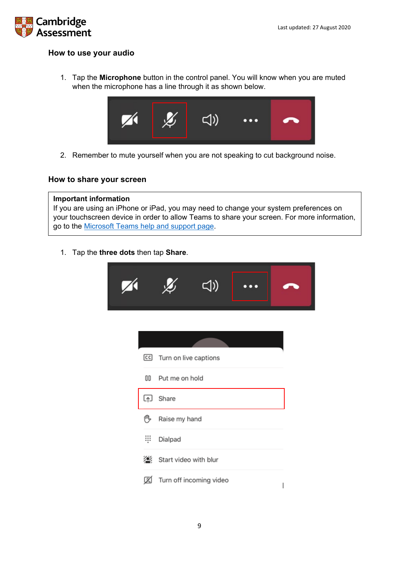

## **How to use your audio**

1. Tap the **Microphone** button in the control panel. You will know when you are muted when the microphone has a line through it as shown below.



2. Remember to mute yourself when you are not speaking to cut background noise.

### <span id="page-8-0"></span>**How to share your screen**

#### **Important information**

If you are using an iPhone or iPad, you may need to change your system preferences on your touchscreen device in order to allow Teams to share your screen. For more information, go to the [Microsoft Teams help and support page.](https://support.microsoft.com/en-us/office/share-content-in-a-meeting-in-teams-fcc2bf59-aecd-4481-8f99-ce55dd836ce8#:%7E:text=Share%20content%20on%20a%20Mac&text=Select%20Open%20System%20Preferences%20from,try%20sharing%20your%20screen%20again.)

1. Tap the **three dots** then tap **Share**.

|     | CC Turn on live captions |                         |  |  |  |  |
|-----|--------------------------|-------------------------|--|--|--|--|
|     | 00 Put me on hold        |                         |  |  |  |  |
| [4] | Share                    |                         |  |  |  |  |
| 們   | Raise my hand            |                         |  |  |  |  |
| ş   | Dialpad                  |                         |  |  |  |  |
|     | Start video with blur    |                         |  |  |  |  |
| Ø   |                          | Turn off incoming video |  |  |  |  |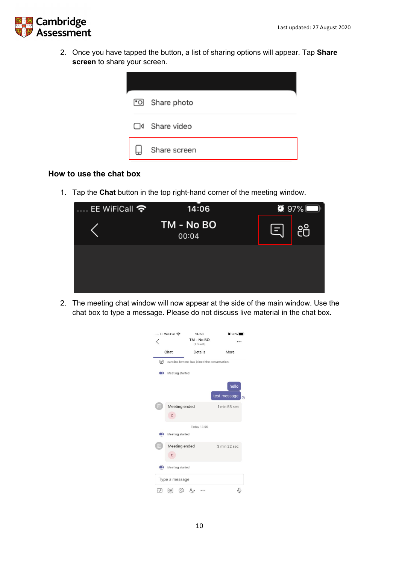

2. Once you have tapped the button, a list of sharing options will appear. Tap **Share screen** to share your screen.



### <span id="page-9-0"></span>**How to use the chat box**

1. Tap the **Chat** button in the top right-hand corner of the meeting window.

| EE WiFiCall <b>令</b> | 14:06               |                | $\bullet$ 97% |
|----------------------|---------------------|----------------|---------------|
|                      | TM - No BO<br>00:04 | $\blacksquare$ | $\frac{1}{2}$ |
|                      |                     |                |               |
|                      |                     |                |               |
|                      |                     |                |               |

2. The meeting chat window will now appear at the side of the main window. Use the chat box to type a message. Please do not discuss live material in the chat box.

| EE WiFiCall 수    |                                              | 14:53                   | $\bullet$ 90%         |  |  |  |
|------------------|----------------------------------------------|-------------------------|-----------------------|--|--|--|
|                  |                                              | TM - No BO<br>(1 Guest) |                       |  |  |  |
| Chat             |                                              | Details                 | More                  |  |  |  |
| 曲                | caroline.lemons has joined the conversation. |                         |                       |  |  |  |
|                  | Meeting started                              |                         |                       |  |  |  |
|                  |                                              |                         | hello<br>test message |  |  |  |
|                  | Meeting ended<br>$\mathsf{C}$                |                         | 1 min 55 sec          |  |  |  |
|                  |                                              | Today 14:06             |                       |  |  |  |
|                  | Meeting started                              |                         |                       |  |  |  |
|                  | Meeting ended<br>$\mathsf{C}$                |                         | 3 min 22 sec          |  |  |  |
|                  | Meeting started                              |                         |                       |  |  |  |
| Type a message   |                                              |                         |                       |  |  |  |
| $\wedge^{\circ}$ | GIF<br><b>a</b>                              |                         |                       |  |  |  |